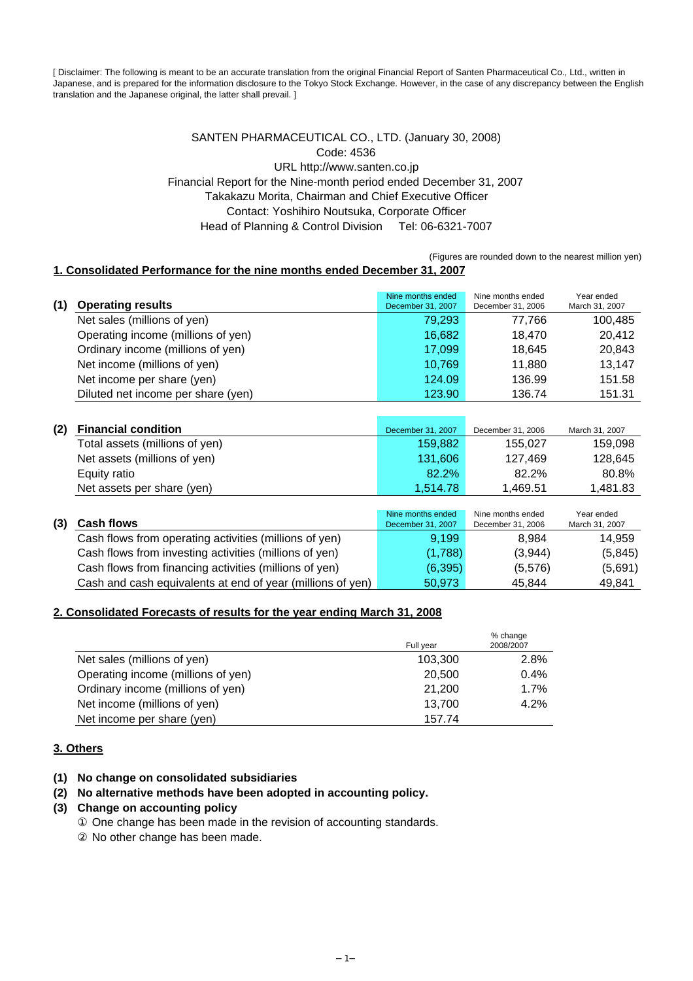[ Disclaimer: The following is meant to be an accurate translation from the original Financial Report of Santen Pharmaceutical Co., Ltd., written in Japanese, and is prepared for the information disclosure to the Tokyo Stock Exchange. However, in the case of any discrepancy between the English translation and the Japanese original, the latter shall prevail. ]

### SANTEN PHARMACEUTICAL CO., LTD. (January 30, 2008) Code: 4536 URL http://www.santen.co.jp Financial Report for the Nine-month period ended December 31, 2007 Takakazu Morita, Chairman and Chief Executive Officer Contact: Yoshihiro Noutsuka, Corporate Officer Head of Planning & Control Division Tel: 06-6321-7007

(Figures are rounded down to the nearest million yen)

### **1. Consolidated Performance for the nine months ended December 31, 2007**

| (1) | <b>Operating results</b>           | Nine months ended<br>December 31, 2007 | Nine months ended<br>December 31, 2006 | Year ended<br>March 31, 2007 |
|-----|------------------------------------|----------------------------------------|----------------------------------------|------------------------------|
|     | Net sales (millions of yen)        | 79,293                                 | 77.766                                 | 100,485                      |
|     | Operating income (millions of yen) | 16,682                                 | 18.470                                 | 20.412                       |
|     | Ordinary income (millions of yen)  | 17,099                                 | 18.645                                 | 20,843                       |
|     | Net income (millions of yen)       | 10,769                                 | 11.880                                 | 13,147                       |
|     | Net income per share (yen)         | 124.09                                 | 136.99                                 | 151.58                       |
|     | Diluted net income per share (yen) | 123.90                                 | 136.74                                 | 151.31                       |

| (2) | <b>Financial condition</b>     | December 31, 2007 | December 31, 2006 | March 31, 2007 |
|-----|--------------------------------|-------------------|-------------------|----------------|
|     | Total assets (millions of yen) | 159.882           | 155.027           | 159,098        |
|     | Net assets (millions of yen)   | 131.606           | 127.469           | 128,645        |
|     | Equity ratio                   | 82.2%             | 82.2%             | 80.8%          |
|     | Net assets per share (yen)     | 1.514.78          | 1,469.51          | 1,481.83       |

| (3) | <b>Cash flows</b>                                          | Nine months ended<br>December 31, 2007 | Nine months ended<br>December 31, 2006 | Year ended<br>March 31, 2007 |
|-----|------------------------------------------------------------|----------------------------------------|----------------------------------------|------------------------------|
|     | Cash flows from operating activities (millions of yen)     | 9,199                                  | 8.984                                  | 14.959                       |
|     | Cash flows from investing activities (millions of yen)     | (1,788)                                | (3,944)                                | (5,845)                      |
|     | Cash flows from financing activities (millions of yen)     | (6, 395)                               | (5,576)                                | (5,691)                      |
|     | Cash and cash equivalents at end of year (millions of yen) | 50.973                                 | 45.844                                 | 49,841                       |

### **2. Consolidated Forecasts of results for the year ending March 31, 2008**

|                                    | Full year | % change<br>2008/2007 |
|------------------------------------|-----------|-----------------------|
| Net sales (millions of yen)        | 103.300   | 2.8%                  |
| Operating income (millions of yen) | 20,500    | 0.4%                  |
| Ordinary income (millions of yen)  | 21.200    | 1.7%                  |
| Net income (millions of yen)       | 13.700    | 4.2%                  |
| Net income per share (yen)         | 157.74    |                       |

### **3. Others**

### **(1) No change on consolidated subsidiaries**

#### **(2) No alternative methods have been adopted in accounting policy.**

#### **(3) Change on accounting policy**

 One change has been made in the revision of accounting standards. No other change has been made.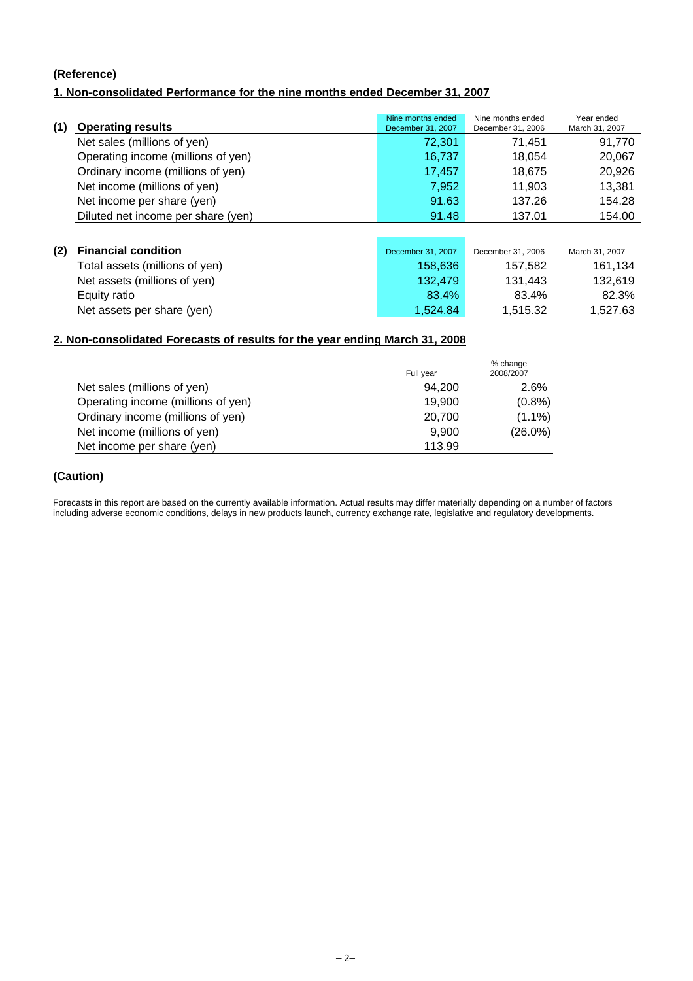### **(Reference)**

### **1. Non-consolidated Performance for the nine months ended December 31, 2007**

| (1) | <b>Operating results</b>           | Nine months ended<br>December 31, 2007 | Nine months ended<br>December 31, 2006 | Year ended<br>March 31, 2007 |
|-----|------------------------------------|----------------------------------------|----------------------------------------|------------------------------|
|     | Net sales (millions of yen)        | 72,301                                 | 71.451                                 | 91,770                       |
|     | Operating income (millions of yen) | 16,737                                 | 18.054                                 | 20,067                       |
|     | Ordinary income (millions of yen)  | 17.457                                 | 18,675                                 | 20,926                       |
|     | Net income (millions of yen)       | 7,952                                  | 11.903                                 | 13,381                       |
|     | Net income per share (yen)         | 91.63                                  | 137.26                                 | 154.28                       |
|     | Diluted net income per share (yen) | 91.48                                  | 137.01                                 | 154.00                       |

| (2) Financial condition        | December 31, 2007 | December 31, 2006 | March 31, 2007 |
|--------------------------------|-------------------|-------------------|----------------|
| Total assets (millions of yen) | 158,636           | 157.582           | 161.134        |
| Net assets (millions of yen)   | 132.479           | 131.443           | 132.619        |
| Equity ratio                   | 83.4%             | 83.4%             | 82.3%          |
| Net assets per share (yen)     | 1.524.84          | 1.515.32          | 1,527.63       |

### **2. Non-consolidated Forecasts of results for the year ending March 31, 2008**

|                                    | Full year | % change<br>2008/2007 |
|------------------------------------|-----------|-----------------------|
| Net sales (millions of yen)        | 94.200    | 2.6%                  |
| Operating income (millions of yen) | 19,900    | $(0.8\%)$             |
| Ordinary income (millions of yen)  | 20,700    | $(1.1\%)$             |
| Net income (millions of yen)       | 9.900     | $(26.0\%)$            |
| Net income per share (yen)         | 113.99    |                       |

### **(Caution)**

Forecasts in this report are based on the currently available information. Actual results may differ materially depending on a number of factors including adverse economic conditions, delays in new products launch, currency exchange rate, legislative and regulatory developments.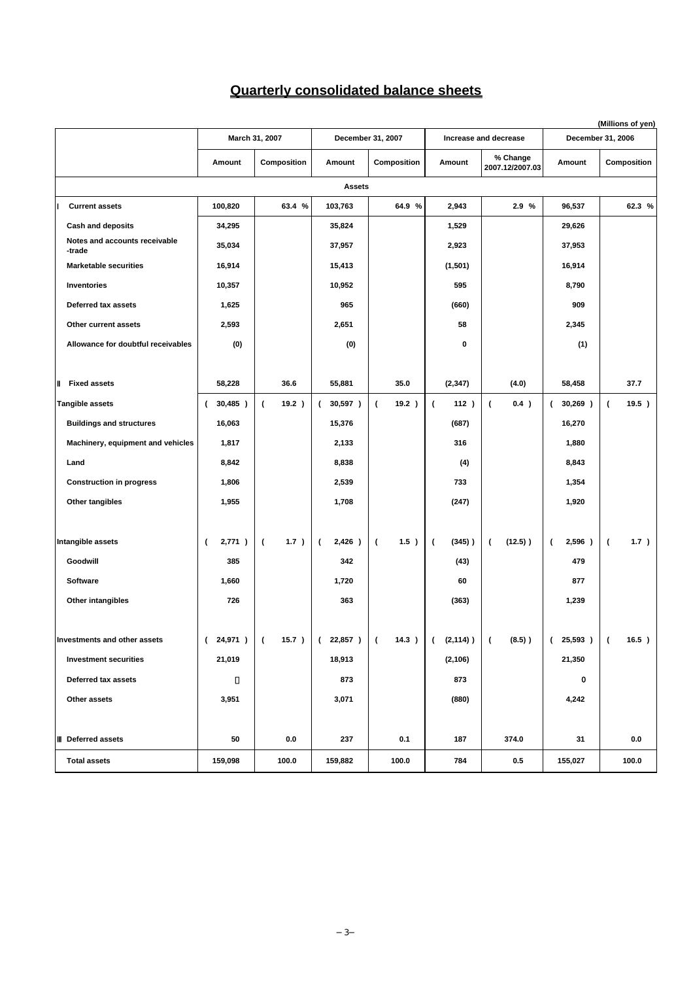### **Quarterly consolidated balance sheets**

|                                        | March 31, 2007<br>December 31, 2007 |                         |                       | (Millions of yen)<br>Increase and decrease<br>December 31, 2006 |                             |                             |                              |                         |
|----------------------------------------|-------------------------------------|-------------------------|-----------------------|-----------------------------------------------------------------|-----------------------------|-----------------------------|------------------------------|-------------------------|
|                                        | Amount                              | Composition             | Amount                | Composition                                                     | Amount                      | % Change<br>2007.12/2007.03 | Amount                       | Composition             |
|                                        |                                     |                         | <b>Assets</b>         |                                                                 |                             |                             |                              |                         |
| <b>Current assets</b>                  | 100,820                             | 63.4 %                  | 103,763               | 64.9 %                                                          | 2,943                       | 2.9%                        | 96,537                       | 62.3 %                  |
| <b>Cash and deposits</b>               | 34,295                              |                         | 35,824                |                                                                 | 1,529                       |                             | 29,626                       |                         |
| Notes and accounts receivable          | 35,034                              |                         | 37,957                |                                                                 | 2,923                       |                             | 37,953                       |                         |
| -trade<br><b>Marketable securities</b> | 16,914                              |                         | 15,413                |                                                                 | (1,501)                     |                             | 16,914                       |                         |
| <b>Inventories</b>                     | 10,357                              |                         | 10,952                |                                                                 | 595                         |                             | 8,790                        |                         |
| Deferred tax assets                    | 1,625                               |                         | 965                   |                                                                 | (660)                       |                             | 909                          |                         |
| Other current assets                   | 2,593                               |                         | 2,651                 |                                                                 | 58                          |                             | 2,345                        |                         |
| Allowance for doubtful receivables     | (0)                                 |                         | (0)                   |                                                                 | 0                           |                             | (1)                          |                         |
|                                        |                                     |                         |                       |                                                                 |                             |                             |                              |                         |
| <b>Fixed assets</b>                    | 58,228                              | 36.6                    | 55,881                | 35.0                                                            | (2, 347)                    | (4.0)                       | 58,458                       | 37.7                    |
| Tangible assets                        | 30,485)<br>(                        | $\overline{ }$<br>19.2) | 30,597)<br>$\epsilon$ | 19.2)<br>$\epsilon$                                             | $\overline{ }$<br>112)      | $\overline{ }$<br>0.4)      | $30,269$ )<br>$\overline{ }$ | $\overline{ }$<br>19.5) |
| <b>Buildings and structures</b>        | 16,063                              |                         | 15,376                |                                                                 | (687)                       |                             | 16,270                       |                         |
| Machinery, equipment and vehicles      | 1,817                               |                         | 2,133                 |                                                                 | 316                         |                             | 1,880                        |                         |
| Land                                   | 8,842                               |                         | 8,838                 |                                                                 | (4)                         |                             | 8,843                        |                         |
| <b>Construction in progress</b>        | 1,806                               |                         | 2,539                 |                                                                 | 733                         |                             | 1,354                        |                         |
| Other tangibles                        | 1,955                               |                         | 1,708                 |                                                                 | (247)                       |                             | 1,920                        |                         |
|                                        |                                     |                         |                       |                                                                 |                             |                             |                              |                         |
| Intangible assets                      | 2,771)<br>$\overline{\phantom{a}}$  | $\overline{ }$<br>1.7)  | 2,426)<br>$\epsilon$  | $\left($<br>$1.5$ )                                             | $(345)$ )<br>$\overline{ }$ | $(12.5)$ )<br>(             | 2,596)<br>$\overline{ }$     | 1.7)<br>$\overline{ }$  |
| Goodwill                               | 385                                 |                         | 342                   |                                                                 | (43)                        |                             | 479                          |                         |
| <b>Software</b>                        | 1,660                               |                         | 1,720                 |                                                                 | 60                          |                             | 877                          |                         |
| Other intangibles                      | 726                                 |                         | 363                   |                                                                 | (363)                       |                             | 1,239                        |                         |
|                                        |                                     |                         |                       |                                                                 |                             |                             |                              |                         |
| <b>Investments and other assets</b>    | $(24,971)$ (                        |                         | 15.7 )   ( 22,857 )   | $(14.3)$ $(2,114)$                                              |                             | $(8.5)$ )<br>$\sqrt{2}$     | (25,593)                     | 16.5 )<br>I (           |
| <b>Investment securities</b>           | 21,019                              |                         | 18,913                |                                                                 | (2, 106)                    |                             | 21,350                       |                         |
| Deferred tax assets                    |                                     |                         | 873                   |                                                                 | 873                         |                             | o                            |                         |
| Other assets                           | 3,951                               |                         | 3,071                 |                                                                 | (880)                       |                             | 4,242                        |                         |
|                                        |                                     |                         |                       |                                                                 |                             |                             |                              |                         |
| Deferred assets                        | 50                                  | 0.0                     | 237                   | 0.1                                                             | 187                         | 374.0                       | 31                           | 0.0                     |
| <b>Total assets</b>                    | 159,098                             | 100.0                   | 159,882               | 100.0                                                           | 784                         | 0.5                         | 155,027                      | 100.0                   |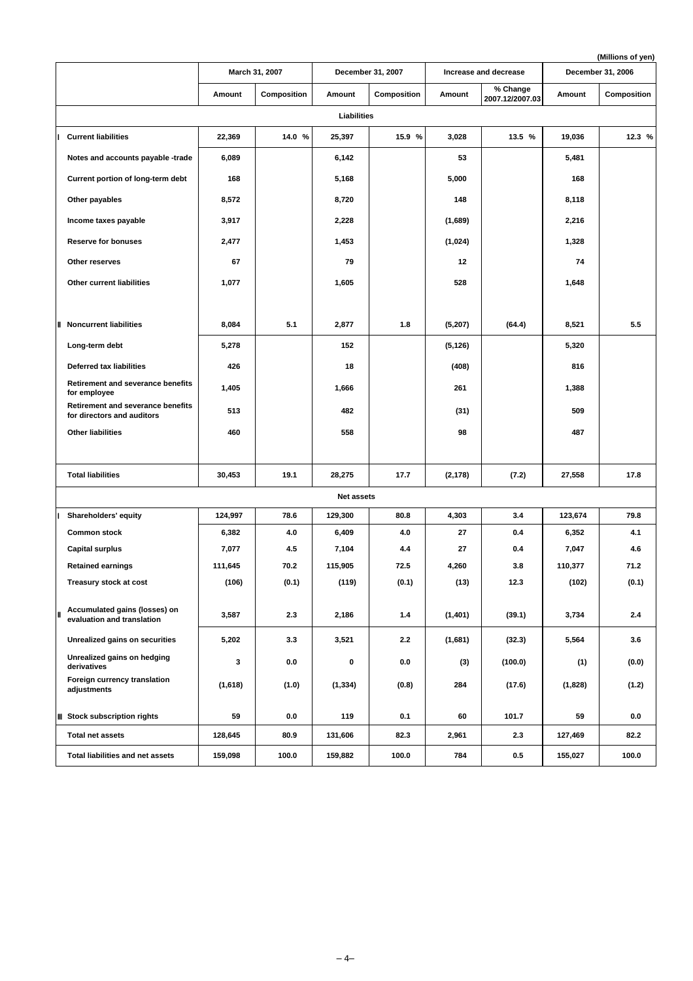|                                                                        |         |                |                   |                   |          |                             |         | (Millions of yen) |
|------------------------------------------------------------------------|---------|----------------|-------------------|-------------------|----------|-----------------------------|---------|-------------------|
|                                                                        |         | March 31, 2007 |                   | December 31, 2007 |          | Increase and decrease       |         | December 31, 2006 |
|                                                                        | Amount  | Composition    | Amount            | Composition       | Amount   | % Change<br>2007.12/2007.03 | Amount  | Composition       |
|                                                                        |         |                | Liabilities       |                   |          |                             |         |                   |
| <b>Current liabilities</b>                                             | 22,369  | 14.0 %         | 25,397            | 15.9 %            | 3,028    | 13.5 %                      | 19,036  | 12.3 %            |
| Notes and accounts payable -trade                                      | 6,089   |                | 6,142             |                   | 53       |                             | 5,481   |                   |
| Current portion of long-term debt                                      | 168     |                | 5,168             |                   | 5,000    |                             | 168     |                   |
| Other payables                                                         | 8,572   |                | 8,720             |                   | 148      |                             | 8,118   |                   |
| Income taxes payable                                                   | 3,917   |                | 2,228             |                   | (1,689)  |                             | 2,216   |                   |
| <b>Reserve for bonuses</b>                                             | 2,477   |                | 1,453             |                   | (1,024)  |                             | 1,328   |                   |
| Other reserves                                                         | 67      |                | 79                |                   | 12       |                             | 74      |                   |
| Other current liabilities                                              | 1,077   |                | 1,605             |                   | 528      |                             | 1,648   |                   |
|                                                                        |         |                |                   |                   |          |                             |         |                   |
| <b>Noncurrent liabilities</b>                                          | 8,084   | 5.1            | 2,877             | 1.8               | (5,207)  | (64.4)                      | 8,521   | 5.5               |
| Long-term debt                                                         | 5,278   |                | 152               |                   | (5, 126) |                             | 5,320   |                   |
| <b>Deferred tax liabilities</b>                                        | 426     |                | 18                |                   | (408)    |                             | 816     |                   |
| <b>Retirement and severance benefits</b><br>for employee               | 1,405   |                | 1,666             |                   | 261      |                             | 1,388   |                   |
| <b>Retirement and severance benefits</b><br>for directors and auditors | 513     |                | 482               |                   | (31)     |                             | 509     |                   |
| <b>Other liabilities</b>                                               | 460     |                | 558               |                   | 98       |                             | 487     |                   |
|                                                                        |         |                |                   |                   |          |                             |         |                   |
| <b>Total liabilities</b>                                               | 30,453  | 19.1           | 28,275            | 17.7              | (2, 178) | (7.2)                       | 27,558  | 17.8              |
|                                                                        |         |                | <b>Net assets</b> |                   |          |                             |         |                   |
| Shareholders' equity                                                   | 124,997 | 78.6           | 129.300           | 80.8              | 4,303    | 3.4                         | 123.674 | 79.8              |
| <b>Common stock</b>                                                    | 6,382   | 4.0            | 6,409             | 4.0               | 27       | 0.4                         | 6,352   | 4.1               |
| <b>Capital surplus</b>                                                 | 7,077   | 4.5            | 7,104             | 4.4               | 27       | 0.4                         | 7,047   | 4.6               |
| <b>Retained earnings</b>                                               | 111,645 | 70.2           | 115,905           | 72.5              | 4,260    | 3.8                         | 110,377 | 71.2              |
| Treasury stock at cost                                                 | (106)   | (0.1)          | (119)             | (0.1)             | (13)     | 12.3                        | (102)   | (0.1)             |
| Accumulated gains (losses) on<br>evaluation and translation            | 3,587   | 2.3            | 2,186             | 1.4               | (1,401)  | (39.1)                      | 3,734   | 2.4               |
| Unrealized gains on securities                                         | 5,202   | 3.3            | 3,521             | 2.2               | (1,681)  | (32.3)                      | 5,564   | 3.6               |
| Unrealized gains on hedging<br>derivatives                             | 3       | 0.0            | 0                 | 0.0               | (3)      | (100.0)                     | (1)     | (0.0)             |
| Foreign currency translation<br>adjustments                            | (1,618) | (1.0)          | (1, 334)          | (0.8)             | 284      | (17.6)                      | (1,828) | (1.2)             |
| <b>Stock subscription rights</b>                                       | 59      | $0.0\,$        | 119               | 0.1               | 60       | 101.7                       | 59      | 0.0               |
| <b>Total net assets</b>                                                | 128,645 | 80.9           | 131,606           | 82.3              | 2,961    | 2.3                         | 127,469 | 82.2              |
| Total liabilities and net assets                                       | 159,098 | 100.0          | 159,882           | 100.0             | 784      | 0.5                         | 155,027 | 100.0             |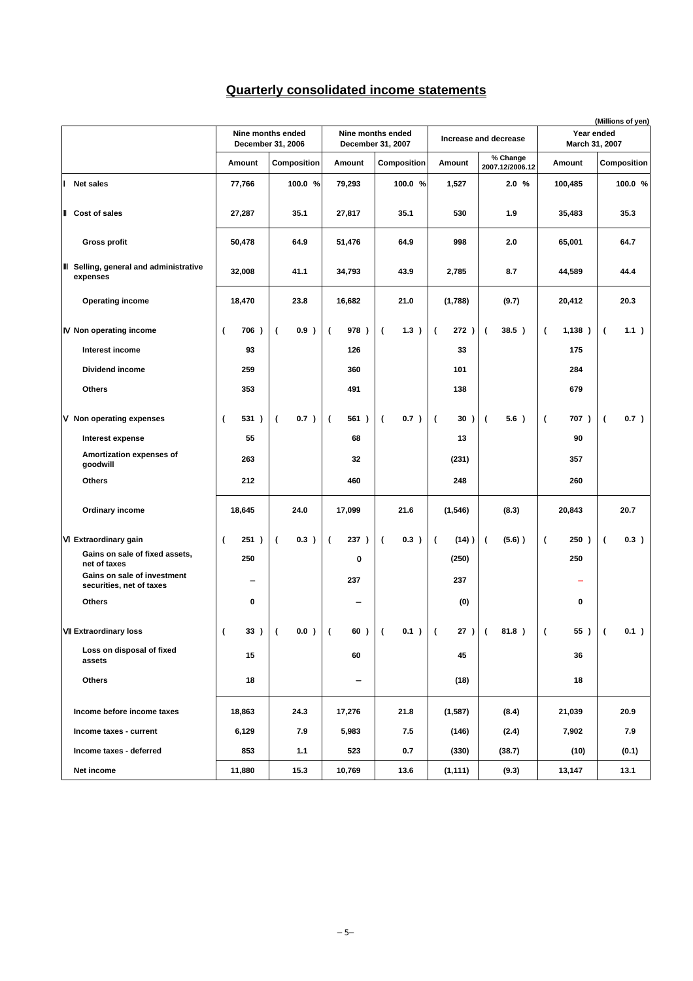### **Quarterly consolidated income statements**

|                                                         |                                  | Nine months ended<br>December 31, 2006 |                                  | Nine months ended<br>December 31, 2007 |                            | Increase and decrease       | Year ended<br>March 31, 2007 |                                  |  |
|---------------------------------------------------------|----------------------------------|----------------------------------------|----------------------------------|----------------------------------------|----------------------------|-----------------------------|------------------------------|----------------------------------|--|
|                                                         | Amount                           | Composition                            | Amount                           | Composition                            | Amount                     | % Change<br>2007.12/2006.12 | Amount                       | <b>Composition</b>               |  |
| <b>Net sales</b>                                        | 77,766                           | 100.0 %                                | 79,293                           | 100.0 %                                | 1,527                      | 2.0%                        | 100,485                      | 100.0 %                          |  |
| Cost of sales                                           | 27,287                           | 35.1                                   | 27,817                           | 35.1                                   | 530                        | 1.9                         | 35,483                       | 35.3                             |  |
| <b>Gross profit</b>                                     | 50,478                           | 64.9                                   | 51,476                           | 64.9                                   | 998                        | 2.0                         | 65,001                       | 64.7                             |  |
| Selling, general and administrative<br>expenses         | 32,008                           | 41.1                                   | 34,793                           | 43.9                                   | 2,785                      | 8.7                         | 44,589                       | 44.4                             |  |
| <b>Operating income</b>                                 | 18,470                           | 23.8                                   | 16,682                           | 21.0                                   | (1,788)                    | (9.7)                       | 20,412                       | 20.3                             |  |
| Non operating income                                    | 706)<br>(                        | 0.9)<br>$\overline{(}$                 | 978)<br>$\overline{ }$           | $\overline{ }$<br>1.3)                 | 272)<br>$\overline{ }$     | 38.5)<br>$\overline{ }$     | 1,138)<br>(                  | 1.1)<br>$\overline{ }$           |  |
| Interest income                                         | 93                               |                                        | 126                              |                                        | 33                         |                             | 175                          |                                  |  |
| Dividend income                                         | 259                              |                                        | 360                              |                                        | 101                        |                             | 284                          |                                  |  |
| <b>Others</b>                                           | 353                              |                                        | 491                              |                                        | 138                        |                             | 679                          |                                  |  |
| Non operating expenses                                  | 531)<br>(                        | 0.7)<br>$\overline{(}$                 | 561)<br>$\overline{\phantom{a}}$ | 0.7)<br>$\overline{ }$                 | $\overline{ }$<br>30)      | 5.6)<br>$\overline{ }$      | 707)<br>$\overline{ }$       | 0.7)<br>$\overline{ }$           |  |
| Interest expense                                        | 55                               |                                        | 68                               |                                        | 13                         |                             | 90                           |                                  |  |
| Amortization expenses of<br>goodwill                    | 263                              |                                        | 32                               |                                        | (231)                      |                             | 357                          |                                  |  |
| <b>Others</b>                                           | 212                              |                                        | 460                              |                                        | 248                        |                             | 260                          |                                  |  |
| <b>Ordinary income</b>                                  | 18,645                           | 24.0                                   | 17,099                           | 21.6                                   | (1, 546)                   | (8.3)                       | 20,843                       | 20.7                             |  |
| <b>Extraordinary gain</b>                               | 251)<br>$\overline{\phantom{a}}$ | $\overline{(}$<br>0.3)                 | 237)<br>$\overline{ }$           | $\overline{ }$<br>0.3)                 | $(14)$ )<br>$\overline{ }$ | $(5.6)$ )<br>$\overline{ }$ | 250)<br>$\overline{ }$       | 0.3)<br>$\overline{ }$           |  |
| Gains on sale of fixed assets,<br>net of taxes          | 250                              |                                        | О                                |                                        | (250)                      |                             | 250                          |                                  |  |
| Gains on sale of investment<br>securities, net of taxes |                                  |                                        | 237                              |                                        | 237                        |                             |                              |                                  |  |
| <b>Others</b>                                           | 0                                |                                        |                                  |                                        | (0)                        |                             | 0                            |                                  |  |
| <b>Extraordinary loss</b>                               | 33)<br>(                         | 0.0)<br>(                              | 60)<br>- (                       | 0.1)<br>$\overline{\phantom{a}}$       | 27)<br>$\overline{ }$      | 81.8)<br>- (                | 55 )<br>(                    | 0.1)<br>$\overline{\phantom{a}}$ |  |
| Loss on disposal of fixed<br>assets                     | 15                               |                                        | 60                               |                                        | 45                         |                             | 36                           |                                  |  |
| Others                                                  | 18                               |                                        |                                  |                                        | (18)                       |                             | 18                           |                                  |  |
| Income before income taxes                              | 18,863                           | 24.3                                   | 17,276                           | 21.8                                   | (1, 587)                   | (8.4)                       | 21,039                       | 20.9                             |  |
| Income taxes - current                                  | 6,129                            | 7.9                                    | 5,983                            | 7.5                                    | (146)                      | (2.4)                       | 7,902                        | 7.9                              |  |
| Income taxes - deferred                                 | 853                              | 1.1                                    | 523                              | 0.7                                    | (330)                      | (38.7)                      | (10)                         | (0.1)                            |  |
| Net income                                              | 11,880                           | 15.3                                   | 10,769                           | 13.6                                   | (1, 111)                   | (9.3)                       | 13,147                       | 13.1                             |  |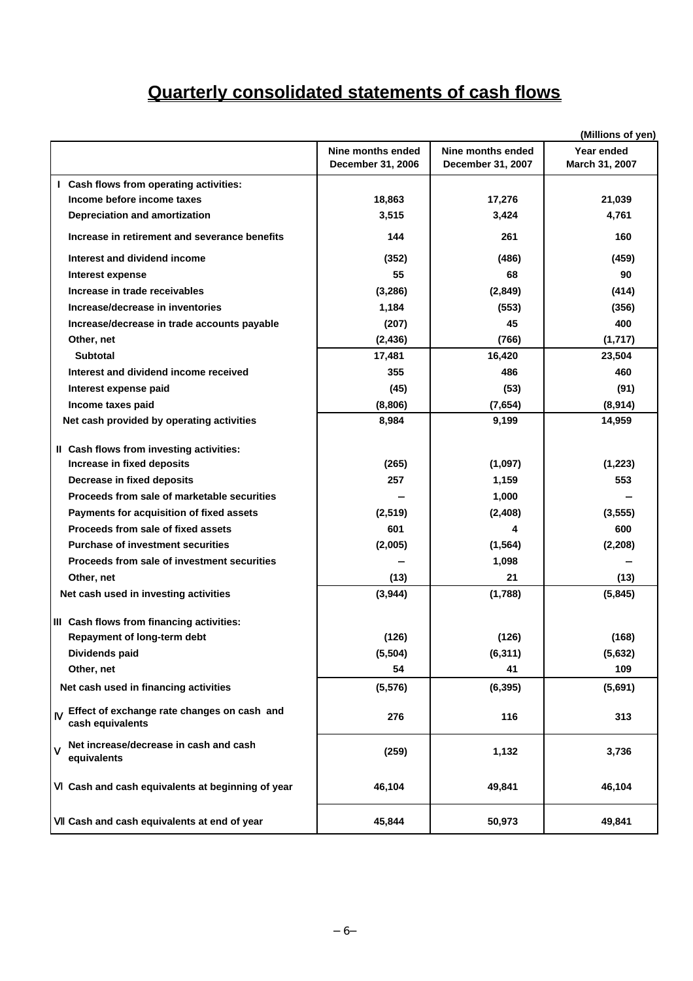# **Quarterly consolidated statements of cash flows**

|                                                                 |                                        |                                        | (Millions of yen)            |
|-----------------------------------------------------------------|----------------------------------------|----------------------------------------|------------------------------|
|                                                                 | Nine months ended<br>December 31, 2006 | Nine months ended<br>December 31, 2007 | Year ended<br>March 31, 2007 |
| I Cash flows from operating activities:                         |                                        |                                        |                              |
| Income before income taxes                                      | 18,863                                 | 17,276                                 | 21,039                       |
| <b>Depreciation and amortization</b>                            | 3,515                                  | 3,424                                  | 4,761                        |
| Increase in retirement and severance benefits                   | 144                                    | 261                                    | 160                          |
| Interest and dividend income                                    | (352)                                  | (486)                                  | (459)                        |
| <b>Interest expense</b>                                         | 55                                     | 68                                     | 90                           |
| Increase in trade receivables                                   | (3, 286)                               | (2,849)                                | (414)                        |
| Increase/decrease in inventories                                | 1,184                                  | (553)                                  | (356)                        |
| Increase/decrease in trade accounts payable                     | (207)                                  | 45                                     | 400                          |
| Other, net                                                      | (2, 436)                               | (766)                                  | (1,717)                      |
| <b>Subtotal</b>                                                 | 17,481                                 | 16,420                                 | 23,504                       |
| Interest and dividend income received                           | 355                                    | 486                                    | 460                          |
| Interest expense paid                                           | (45)                                   | (53)                                   | (91)                         |
| Income taxes paid                                               | (8,806)                                | (7,654)                                | (8,914)                      |
| Net cash provided by operating activities                       | 8,984                                  | 9,199                                  | 14,959                       |
|                                                                 |                                        |                                        |                              |
| II Cash flows from investing activities:                        |                                        |                                        |                              |
| Increase in fixed deposits                                      | (265)                                  | (1,097)                                | (1,223)                      |
| Decrease in fixed deposits                                      | 257                                    | 1,159                                  | 553                          |
| Proceeds from sale of marketable securities                     |                                        | 1,000                                  |                              |
| Payments for acquisition of fixed assets                        | (2,519)                                | (2, 408)                               | (3, 555)                     |
| Proceeds from sale of fixed assets                              | 601                                    | 4                                      | 600                          |
| <b>Purchase of investment securities</b>                        | (2,005)                                | (1, 564)                               | (2, 208)                     |
| Proceeds from sale of investment securities                     |                                        | 1,098                                  |                              |
| Other, net                                                      | (13)                                   | 21                                     | (13)                         |
| Net cash used in investing activities                           | (3,944)                                | (1,788)                                | (5, 845)                     |
| III Cash flows from financing activities:                       |                                        |                                        |                              |
| Repayment of long-term debt                                     | (126)                                  | (126)                                  | (168)                        |
| Dividends paid                                                  | (5,504)                                | (6,311)                                | (5,632)                      |
| Other, net                                                      | 54                                     | 41                                     | 109                          |
| Net cash used in financing activities                           | (5, 576)                               | (6, 395)                               | (5,691)                      |
| Effect of exchange rate changes on cash and<br>cash equivalents | 276                                    | 116                                    | 313                          |
| Net increase/decrease in cash and cash<br>equivalents           | (259)                                  | 1,132                                  | 3,736                        |
| Cash and cash equivalents at beginning of year                  | 46,104                                 | 49,841                                 | 46,104                       |
| Cash and cash equivalents at end of year                        | 45,844                                 | 50,973                                 | 49,841                       |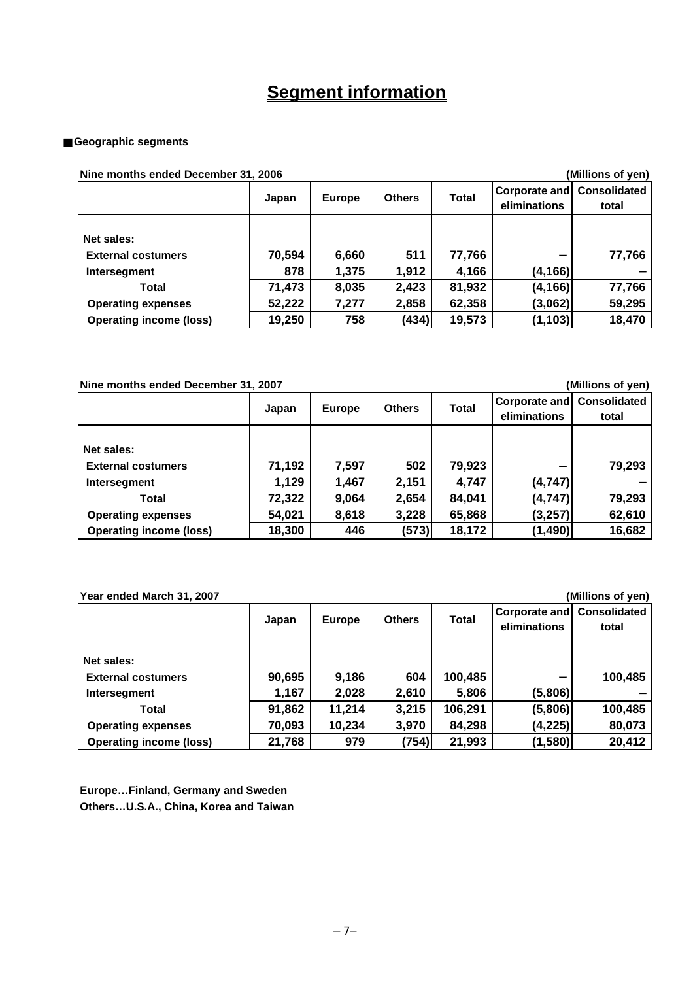## **Segment information**

### **Geographic segments**

**Nine months ended December 31, 2006 (Millions of yen)**

| <u>INIIG IIIUIINIS GIIUGU DECEIIIDEI JT. ZUUU</u><br>וויסן וט פווטווווויון |               |                |               |                 |                               |                              |
|----------------------------------------------------------------------------|---------------|----------------|---------------|-----------------|-------------------------------|------------------------------|
|                                                                            | Japan         | <b>Europe</b>  | <b>Others</b> | <b>Total</b>    | Corporate and<br>eliminations | <b>Consolidated</b><br>total |
| Net sales:<br><b>External costumers</b><br>Intersegment                    | 70,594<br>878 | 6,660<br>1,375 | 511<br>1,912  | 77,766<br>4,166 | (4, 166)                      | 77,766                       |
| Total                                                                      | 71,473        | 8,035          | 2,423         | 81,932          | (4, 166)                      | 77,766                       |
| <b>Operating expenses</b>                                                  | 52,222        | 7,277          | 2,858         | 62,358          | (3,062)                       | 59,295                       |
| <b>Operating income (loss)</b>                                             | 19,250        | 758            | (434)         | 19,573          | (1, 103)                      | 18,470                       |

**Nine months ended December 31, 2007 (Millions of yen)**

|                                                         | Japan           | <b>Europe</b>  | <b>Others</b> | <b>Total</b>    | <b>Corporate and Consolidated</b><br>eliminations | total  |
|---------------------------------------------------------|-----------------|----------------|---------------|-----------------|---------------------------------------------------|--------|
| Net sales:<br><b>External costumers</b><br>Intersegment | 71,192<br>1,129 | 7,597<br>1,467 | 502<br>2,151  | 79,923<br>4,747 | (4,747)                                           | 79,293 |
| Total                                                   | 72,322          | 9,064          | 2,654         | 84,041          | (4,747)                                           | 79,293 |
| <b>Operating expenses</b>                               | 54,021          | 8,618          | 3,228         | 65,868          | (3,257)                                           | 62,610 |
| <b>Operating income (loss)</b>                          | 18,300          | 446            | (573)         | 18,172          | (1, 490)                                          | 16,682 |

### **Year ended March 31, 2007 (Millions of yen)**

|                                                         | Japan           | <b>Europe</b>  | <b>Others</b> | Total            | Corporate and<br>eliminations | <b>Consolidated</b><br>total |
|---------------------------------------------------------|-----------------|----------------|---------------|------------------|-------------------------------|------------------------------|
| Net sales:<br><b>External costumers</b><br>Intersegment | 90,695<br>1,167 | 9,186<br>2,028 | 604<br>2,610  | 100,485<br>5,806 | (5,806)                       | 100,485                      |
| Total                                                   | 91,862          | 11,214         | 3,215         | 106,291          | (5,806)                       | 100,485                      |
| <b>Operating expenses</b>                               | 70,093          | 10,234         | 3,970         | 84,298           | (4, 225)                      | 80,073                       |
| <b>Operating income (loss)</b>                          | 21,768          | 979            | (754)         | 21,993           | (1,580)                       | 20,412                       |

**Europe…Finland, Germany and Sweden Others…U.S.A., China, Korea and Taiwan**